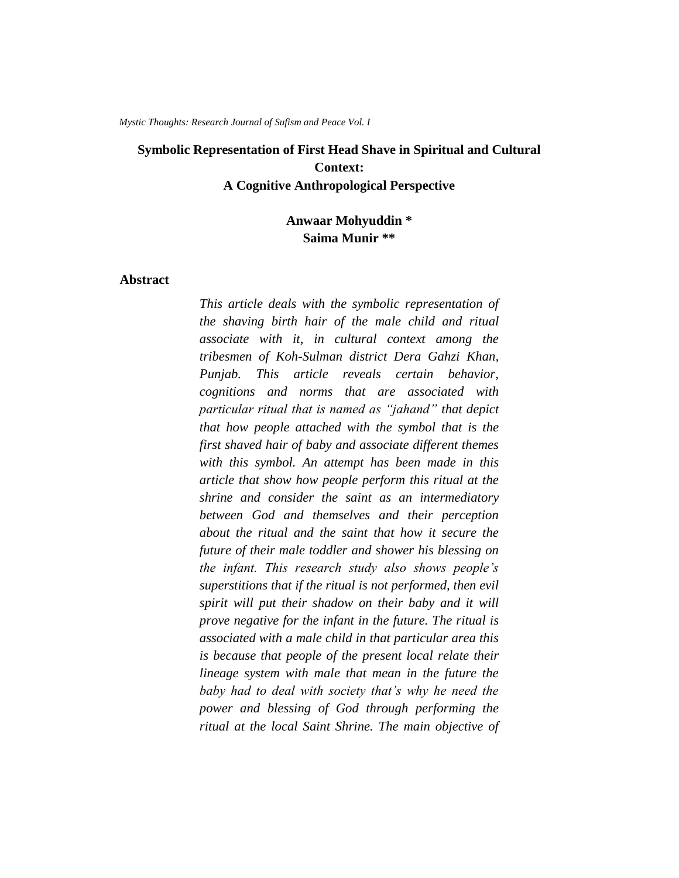*Mystic Thoughts: Research Journal of Sufism and Peace Vol. I*

# **Symbolic Representation of First Head Shave in Spiritual and Cultural Context: A Cognitive Anthropological Perspective**

**Anwaar Mohyuddin \* Saima Munir \*\***

### **Abstract**

*This article deals with the symbolic representation of the shaving birth hair of the male child and ritual associate with it, in cultural context among the tribesmen of Koh-Sulman district Dera Gahzi Khan, Punjab. This article reveals certain behavior, cognitions and norms that are associated with particular ritual that is named as "jahand" that depict that how people attached with the symbol that is the first shaved hair of baby and associate different themes with this symbol. An attempt has been made in this article that show how people perform this ritual at the shrine and consider the saint as an intermediatory between God and themselves and their perception about the ritual and the saint that how it secure the future of their male toddler and shower his blessing on the infant. This research study also shows people's superstitions that if the ritual is not performed, then evil spirit will put their shadow on their baby and it will prove negative for the infant in the future. The ritual is associated with a male child in that particular area this is because that people of the present local relate their lineage system with male that mean in the future the baby had to deal with society that's why he need the power and blessing of God through performing the ritual at the local Saint Shrine. The main objective of*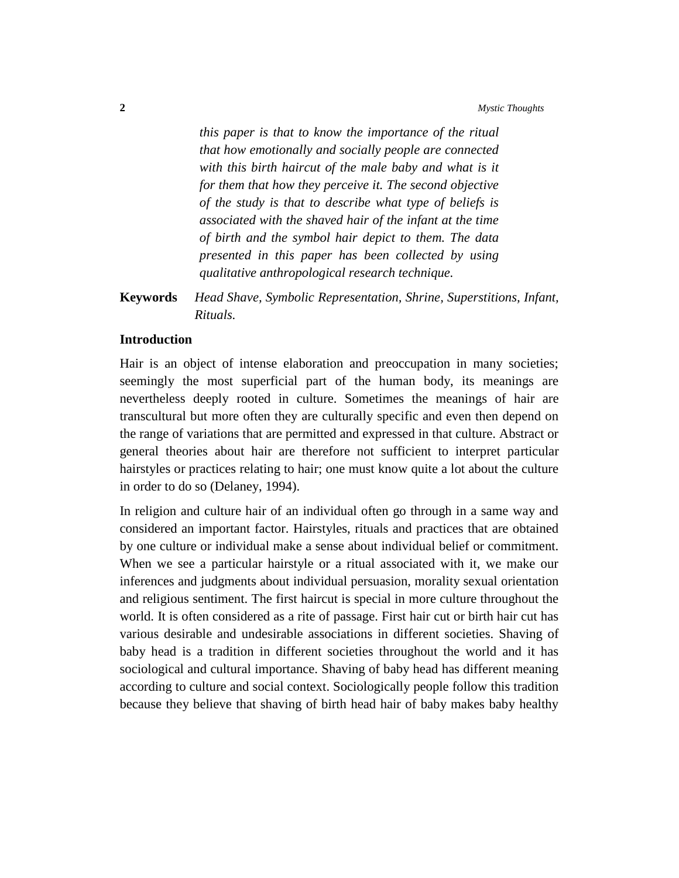*this paper is that to know the importance of the ritual that how emotionally and socially people are connected with this birth haircut of the male baby and what is it for them that how they perceive it. The second objective of the study is that to describe what type of beliefs is associated with the shaved hair of the infant at the time of birth and the symbol hair depict to them. The data presented in this paper has been collected by using qualitative anthropological research technique.*

**Keywords** *Head Shave, Symbolic Representation, Shrine, Superstitions, Infant, Rituals.*

## **Introduction**

Hair is an object of intense elaboration and preoccupation in many societies; seemingly the most superficial part of the human body, its meanings are nevertheless deeply rooted in culture. Sometimes the meanings of hair are transcultural but more often they are culturally specific and even then depend on the range of variations that are permitted and expressed in that culture. Abstract or general theories about hair are therefore not sufficient to interpret particular hairstyles or practices relating to hair; one must know quite a lot about the culture in order to do so (Delaney, 1994).

In religion and culture hair of an individual often go through in a same way and considered an important factor. Hairstyles, rituals and practices that are obtained by one culture or individual make a sense about individual belief or commitment. When we see a particular hairstyle or a ritual associated with it, we make our inferences and judgments about individual persuasion, morality sexual orientation and religious sentiment. The first haircut is special in more culture throughout the world. It is often considered as a rite of passage. First hair cut or birth hair cut has various desirable and undesirable associations in different societies. Shaving of baby head is a tradition in different societies throughout the world and it has sociological and cultural importance. Shaving of baby head has different meaning according to culture and social context. Sociologically people follow this tradition because they believe that shaving of birth head hair of baby makes baby healthy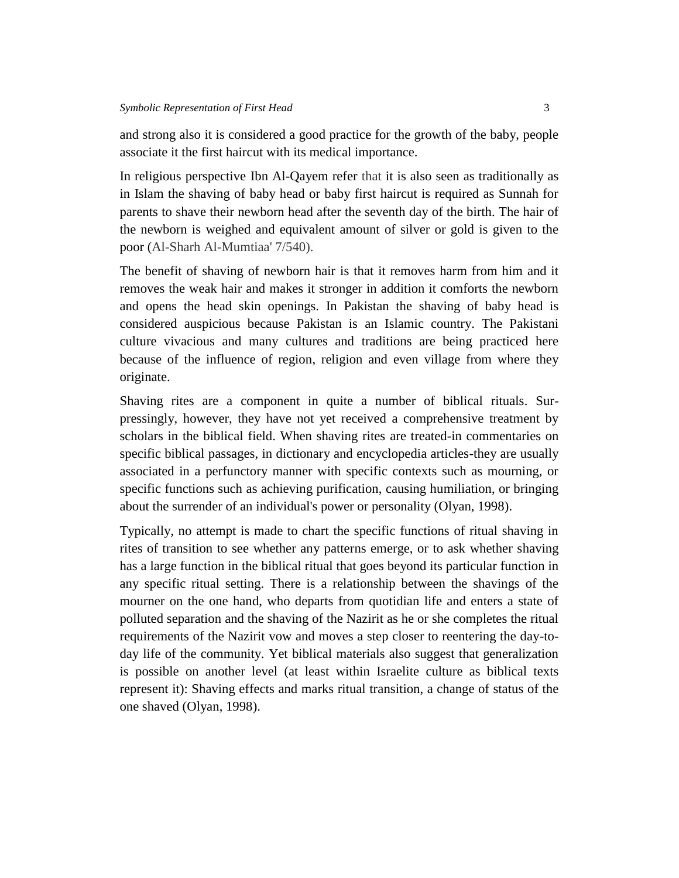and strong also it is considered a good practice for the growth of the baby, people associate it the first haircut with its medical importance.

In religious perspective Ibn Al-Qayem refer that it is also seen as traditionally as in Islam the shaving of baby head or baby first haircut is required as Sunnah for parents to shave their newborn head after the seventh day of the birth. The hair of the newborn is weighed and equivalent amount of silver or gold is given to the poor (Al-Sharh Al-Mumtiaa' 7/540).

The benefit of shaving of newborn hair is that it removes harm from him and it removes the weak hair and makes it stronger in addition it comforts the newborn and opens the head skin openings. In Pakistan the shaving of baby head is considered auspicious because Pakistan is an Islamic country. The Pakistani culture vivacious and many cultures and traditions are being practiced here because of the influence of region, religion and even village from where they originate.

Shaving rites are a component in quite a number of biblical rituals. Surpressingly, however, they have not yet received a comprehensive treatment by scholars in the biblical field. When shaving rites are treated-in commentaries on specific biblical passages, in dictionary and encyclopedia articles-they are usually associated in a perfunctory manner with specific contexts such as mourning, or specific functions such as achieving purification, causing humiliation, or bringing about the surrender of an individual's power or personality (Olyan, 1998).

Typically, no attempt is made to chart the specific functions of ritual shaving in rites of transition to see whether any patterns emerge, or to ask whether shaving has a large function in the biblical ritual that goes beyond its particular function in any specific ritual setting. There is a relationship between the shavings of the mourner on the one hand, who departs from quotidian life and enters a state of polluted separation and the shaving of the Nazirit as he or she completes the ritual requirements of the Nazirit vow and moves a step closer to reentering the day-today life of the community. Yet biblical materials also suggest that generalization is possible on another level (at least within Israelite culture as biblical texts represent it): Shaving effects and marks ritual transition, a change of status of the one shaved (Olyan, 1998).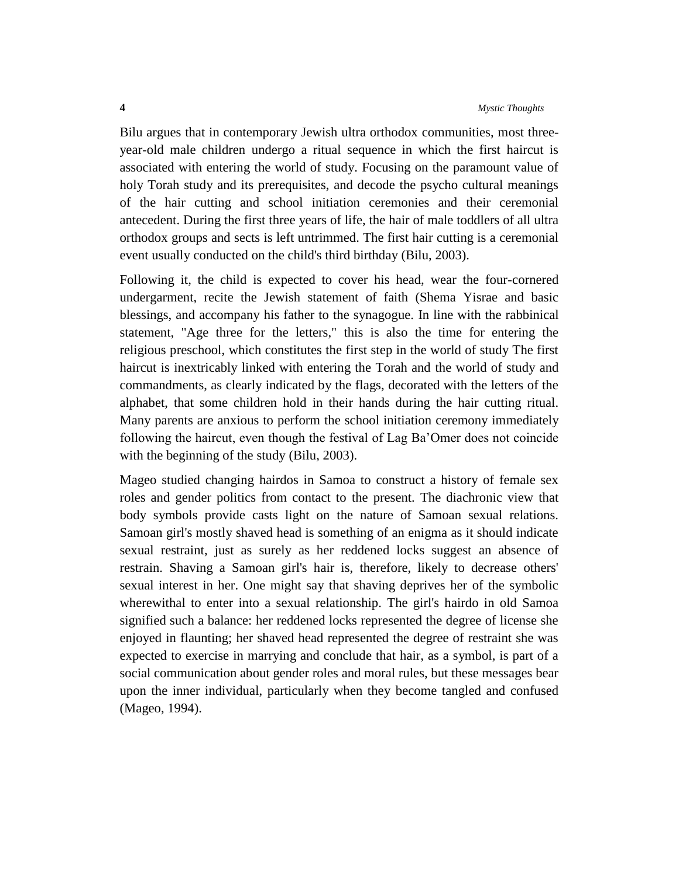Bilu argues that in contemporary Jewish ultra orthodox communities, most threeyear-old male children undergo a ritual sequence in which the first haircut is associated with entering the world of study. Focusing on the paramount value of holy Torah study and its prerequisites, and decode the psycho cultural meanings of the hair cutting and school initiation ceremonies and their ceremonial antecedent. During the first three years of life, the hair of male toddlers of all ultra orthodox groups and sects is left untrimmed. The first hair cutting is a ceremonial event usually conducted on the child's third birthday (Bilu, 2003).

Following it, the child is expected to cover his head, wear the four-cornered undergarment, recite the Jewish statement of faith (Shema Yisrae and basic blessings, and accompany his father to the synagogue. In line with the rabbinical statement, "Age three for the letters," this is also the time for entering the religious preschool, which constitutes the first step in the world of study The first haircut is inextricably linked with entering the Torah and the world of study and commandments, as clearly indicated by the flags, decorated with the letters of the alphabet, that some children hold in their hands during the hair cutting ritual. Many parents are anxious to perform the school initiation ceremony immediately following the haircut, even though the festival of Lag Ba'Omer does not coincide with the beginning of the study (Bilu, 2003).

Mageo studied changing hairdos in Samoa to construct a history of female sex roles and gender politics from contact to the present. The diachronic view that body symbols provide casts light on the nature of Samoan sexual relations. Samoan girl's mostly shaved head is something of an enigma as it should indicate sexual restraint, just as surely as her reddened locks suggest an absence of restrain. Shaving a Samoan girl's hair is, therefore, likely to decrease others' sexual interest in her. One might say that shaving deprives her of the symbolic wherewithal to enter into a sexual relationship. The girl's hairdo in old Samoa signified such a balance: her reddened locks represented the degree of license she enjoyed in flaunting; her shaved head represented the degree of restraint she was expected to exercise in marrying and conclude that hair, as a symbol, is part of a social communication about gender roles and moral rules, but these messages bear upon the inner individual, particularly when they become tangled and confused (Mageo, 1994).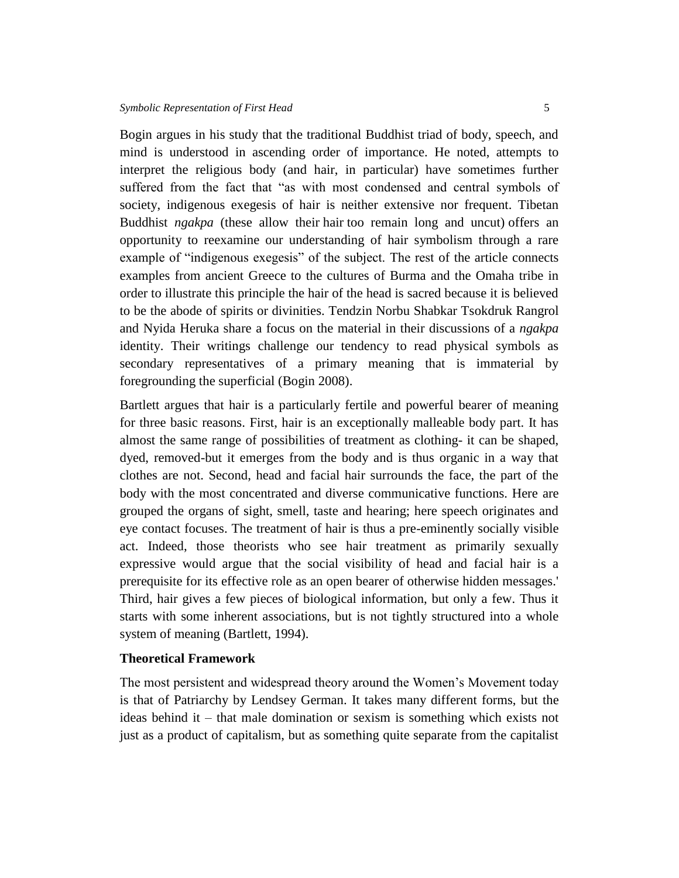Bogin argues in his study that the traditional Buddhist triad of body, speech, and mind is understood in ascending order of importance. He noted, attempts to interpret the religious body (and hair, in particular) have sometimes further suffered from the fact that "as with most condensed and central symbols of society, indigenous exegesis of hair is neither extensive nor frequent. Tibetan Buddhist *ngakpa* (these allow their hair too remain long and uncut) offers an opportunity to reexamine our understanding of hair symbolism through a rare example of "indigenous exegesis" of the subject. The rest of the article connects examples from ancient Greece to the cultures of Burma and the Omaha tribe in order to illustrate this principle the hair of the head is sacred because it is believed to be the abode of spirits or divinities. Tendzin Norbu Shabkar Tsokdruk Rangrol and Nyida Heruka share a focus on the material in their discussions of a *ngakpa*  identity. Their writings challenge our tendency to read physical symbols as secondary representatives of a primary meaning that is immaterial by foregrounding the superficial (Bogin 2008).

Bartlett argues that hair is a particularly fertile and powerful bearer of meaning for three basic reasons. First, hair is an exceptionally malleable body part. It has almost the same range of possibilities of treatment as clothing- it can be shaped, dyed, removed-but it emerges from the body and is thus organic in a way that clothes are not. Second, head and facial hair surrounds the face, the part of the body with the most concentrated and diverse communicative functions. Here are grouped the organs of sight, smell, taste and hearing; here speech originates and eye contact focuses. The treatment of hair is thus a pre-eminently socially visible act. Indeed, those theorists who see hair treatment as primarily sexually expressive would argue that the social visibility of head and facial hair is a prerequisite for its effective role as an open bearer of otherwise hidden messages.' Third, hair gives a few pieces of biological information, but only a few. Thus it starts with some inherent associations, but is not tightly structured into a whole system of meaning (Bartlett, 1994).

#### **Theoretical Framework**

The most persistent and widespread theory around the Women's Movement today is that of Patriarchy by Lendsey German. It takes many different forms, but the ideas behind it – that male domination or sexism is something which exists not just as a product of capitalism, but as something quite separate from the capitalist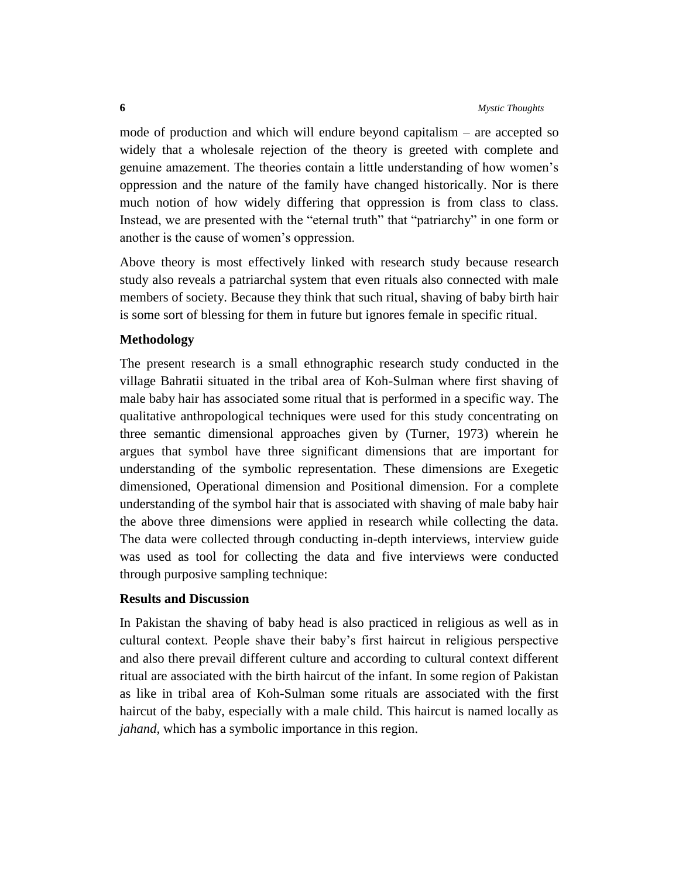mode of production and which will endure beyond capitalism – are accepted so widely that a wholesale rejection of the theory is greeted with complete and genuine amazement. The theories contain a little understanding of how women's oppression and the nature of the family have changed historically. Nor is there much notion of how widely differing that oppression is from class to class. Instead, we are presented with the "eternal truth" that "patriarchy" in one form or another is the cause of women's oppression.

Above theory is most effectively linked with research study because research study also reveals a patriarchal system that even rituals also connected with male members of society. Because they think that such ritual, shaving of baby birth hair is some sort of blessing for them in future but ignores female in specific ritual.

### **Methodology**

The present research is a small ethnographic research study conducted in the village Bahratii situated in the tribal area of Koh-Sulman where first shaving of male baby hair has associated some ritual that is performed in a specific way. The qualitative anthropological techniques were used for this study concentrating on three semantic dimensional approaches given by (Turner, 1973) wherein he argues that symbol have three significant dimensions that are important for understanding of the symbolic representation. These dimensions are Exegetic dimensioned, Operational dimension and Positional dimension. For a complete understanding of the symbol hair that is associated with shaving of male baby hair the above three dimensions were applied in research while collecting the data. The data were collected through conducting in-depth interviews, interview guide was used as tool for collecting the data and five interviews were conducted through purposive sampling technique:

### **Results and Discussion**

In Pakistan the shaving of baby head is also practiced in religious as well as in cultural context. People shave their baby's first haircut in religious perspective and also there prevail different culture and according to cultural context different ritual are associated with the birth haircut of the infant. In some region of Pakistan as like in tribal area of Koh-Sulman some rituals are associated with the first haircut of the baby, especially with a male child. This haircut is named locally as *jahand,* which has a symbolic importance in this region.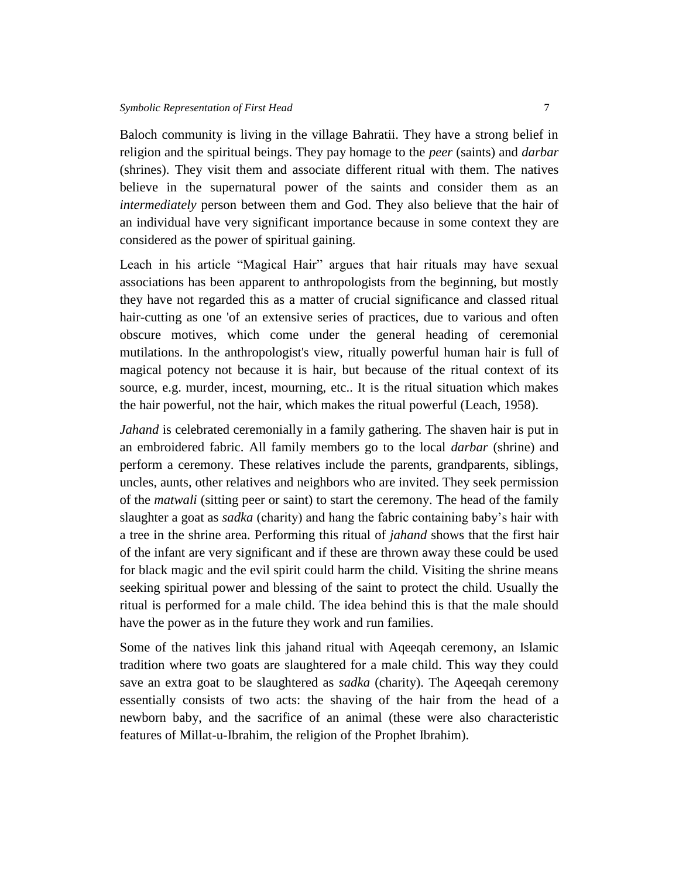Baloch community is living in the village Bahratii. They have a strong belief in religion and the spiritual beings. They pay homage to the *peer* (saints) and *darbar* (shrines). They visit them and associate different ritual with them. The natives believe in the supernatural power of the saints and consider them as an *intermediately* person between them and God. They also believe that the hair of an individual have very significant importance because in some context they are considered as the power of spiritual gaining.

Leach in his article "Magical Hair" argues that hair rituals may have sexual associations has been apparent to anthropologists from the beginning, but mostly they have not regarded this as a matter of crucial significance and classed ritual hair-cutting as one 'of an extensive series of practices, due to various and often obscure motives, which come under the general heading of ceremonial mutilations. In the anthropologist's view, ritually powerful human hair is full of magical potency not because it is hair, but because of the ritual context of its source, e.g. murder, incest, mourning, etc.. It is the ritual situation which makes the hair powerful, not the hair, which makes the ritual powerful (Leach, 1958).

*Jahand* is celebrated ceremonially in a family gathering. The shaven hair is put in an embroidered fabric. All family members go to the local *darbar* (shrine) and perform a ceremony. These relatives include the parents, grandparents, siblings, uncles, aunts, other relatives and neighbors who are invited. They seek permission of the *matwali* (sitting peer or saint) to start the ceremony. The head of the family slaughter a goat as *sadka* (charity) and hang the fabric containing baby's hair with a tree in the shrine area. Performing this ritual of *jahand* shows that the first hair of the infant are very significant and if these are thrown away these could be used for black magic and the evil spirit could harm the child. Visiting the shrine means seeking spiritual power and blessing of the saint to protect the child. Usually the ritual is performed for a male child. The idea behind this is that the male should have the power as in the future they work and run families.

Some of the natives link this jahand ritual with Aqeeqah ceremony, an Islamic tradition where two goats are slaughtered for a male child. This way they could save an extra goat to be slaughtered as *sadka* (charity). The Aqeeqah ceremony essentially consists of two acts: the shaving of the hair from the head of a newborn baby, and the sacrifice of an animal (these were also characteristic features of Millat-u-Ibrahim, the religion of the Prophet Ibrahim).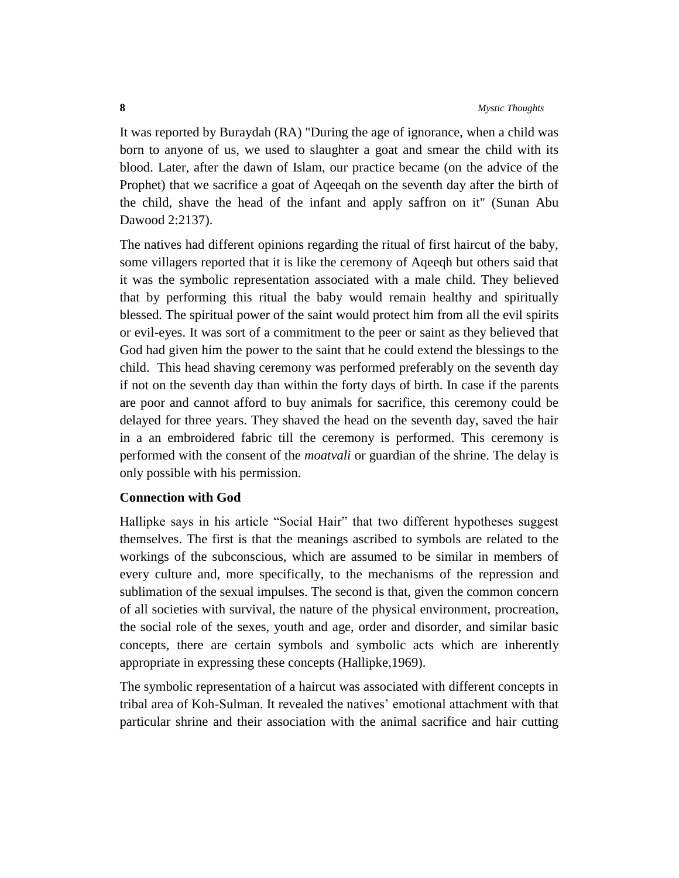It was reported by Buraydah (RA) "During the age of ignorance, when a child was born to anyone of us, we used to slaughter a goat and smear the child with its blood. Later, after the dawn of Islam, our practice became (on the advice of the Prophet) that we sacrifice a goat of Aqeeqah on the seventh day after the birth of the child, shave the head of the infant and apply saffron on it" (Sunan Abu Dawood 2:2137).

The natives had different opinions regarding the ritual of first haircut of the baby, some villagers reported that it is like the ceremony of Aqeeqh but others said that it was the symbolic representation associated with a male child. They believed that by performing this ritual the baby would remain healthy and spiritually blessed. The spiritual power of the saint would protect him from all the evil spirits or evil-eyes. It was sort of a commitment to the peer or saint as they believed that God had given him the power to the saint that he could extend the blessings to the child. This head shaving ceremony was performed preferably on the seventh day if not on the seventh day than within the forty days of birth. In case if the parents are poor and cannot afford to buy animals for sacrifice, this ceremony could be delayed for three years. They shaved the head on the seventh day, saved the hair in a an embroidered fabric till the ceremony is performed. This ceremony is performed with the consent of the *moatvali* or guardian of the shrine. The delay is only possible with his permission.

#### **Connection with God**

Hallipke says in his article "Social Hair" that two different hypotheses suggest themselves. The first is that the meanings ascribed to symbols are related to the workings of the subconscious, which are assumed to be similar in members of every culture and, more specifically, to the mechanisms of the repression and sublimation of the sexual impulses. The second is that, given the common concern of all societies with survival, the nature of the physical environment, procreation, the social role of the sexes, youth and age, order and disorder, and similar basic concepts, there are certain symbols and symbolic acts which are inherently appropriate in expressing these concepts (Hallipke,1969).

The symbolic representation of a haircut was associated with different concepts in tribal area of Koh-Sulman. It revealed the natives' emotional attachment with that particular shrine and their association with the animal sacrifice and hair cutting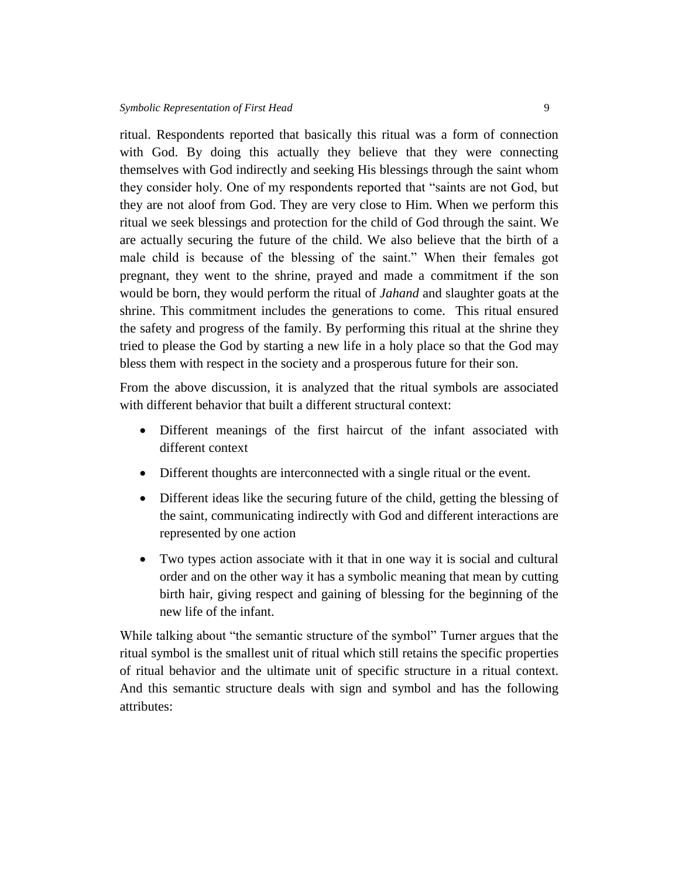ritual. Respondents reported that basically this ritual was a form of connection with God. By doing this actually they believe that they were connecting themselves with God indirectly and seeking His blessings through the saint whom they consider holy. One of my respondents reported that "saints are not God, but they are not aloof from God. They are very close to Him. When we perform this ritual we seek blessings and protection for the child of God through the saint. We are actually securing the future of the child. We also believe that the birth of a male child is because of the blessing of the saint." When their females got pregnant, they went to the shrine, prayed and made a commitment if the son would be born, they would perform the ritual of *Jahand* and slaughter goats at the shrine. This commitment includes the generations to come. This ritual ensured the safety and progress of the family. By performing this ritual at the shrine they tried to please the God by starting a new life in a holy place so that the God may bless them with respect in the society and a prosperous future for their son.

From the above discussion, it is analyzed that the ritual symbols are associated with different behavior that built a different structural context:

- Different meanings of the first haircut of the infant associated with different context
- Different thoughts are interconnected with a single ritual or the event.
- Different ideas like the securing future of the child, getting the blessing of the saint, communicating indirectly with God and different interactions are represented by one action
- Two types action associate with it that in one way it is social and cultural order and on the other way it has a symbolic meaning that mean by cutting birth hair, giving respect and gaining of blessing for the beginning of the new life of the infant.

While talking about "the semantic structure of the symbol" Turner argues that the ritual symbol is the smallest unit of ritual which still retains the specific properties of ritual behavior and the ultimate unit of specific structure in a ritual context. And this semantic structure deals with sign and symbol and has the following attributes: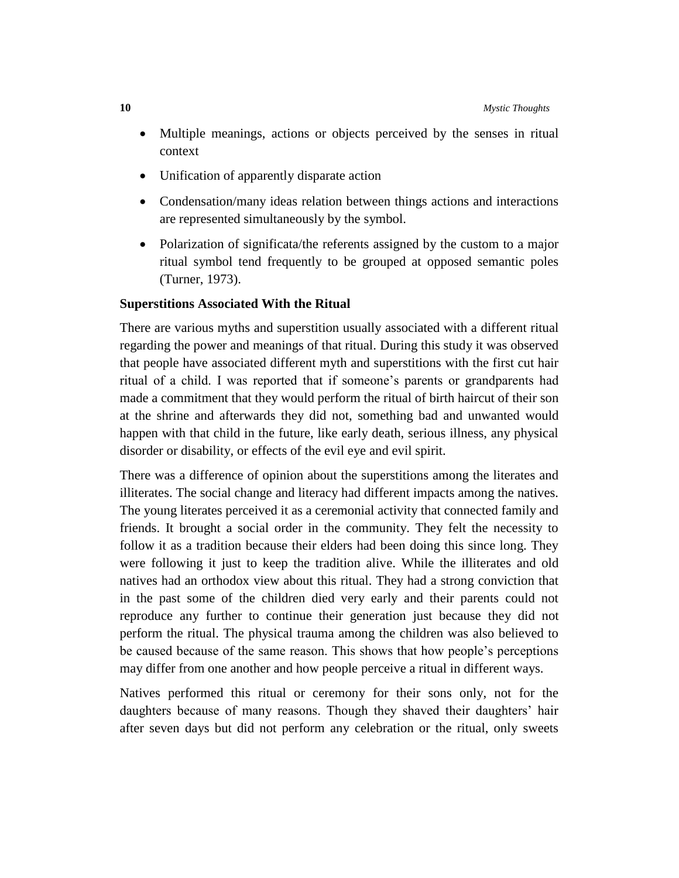- Multiple meanings, actions or objects perceived by the senses in ritual context
- Unification of apparently disparate action
- Condensation/many ideas relation between things actions and interactions are represented simultaneously by the symbol.
- Polarization of significata/the referents assigned by the custom to a major ritual symbol tend frequently to be grouped at opposed semantic poles (Turner, 1973).

#### **Superstitions Associated With the Ritual**

There are various myths and superstition usually associated with a different ritual regarding the power and meanings of that ritual. During this study it was observed that people have associated different myth and superstitions with the first cut hair ritual of a child. I was reported that if someone's parents or grandparents had made a commitment that they would perform the ritual of birth haircut of their son at the shrine and afterwards they did not, something bad and unwanted would happen with that child in the future, like early death, serious illness, any physical disorder or disability, or effects of the evil eye and evil spirit.

There was a difference of opinion about the superstitions among the literates and illiterates. The social change and literacy had different impacts among the natives. The young literates perceived it as a ceremonial activity that connected family and friends. It brought a social order in the community. They felt the necessity to follow it as a tradition because their elders had been doing this since long. They were following it just to keep the tradition alive. While the illiterates and old natives had an orthodox view about this ritual. They had a strong conviction that in the past some of the children died very early and their parents could not reproduce any further to continue their generation just because they did not perform the ritual. The physical trauma among the children was also believed to be caused because of the same reason. This shows that how people's perceptions may differ from one another and how people perceive a ritual in different ways.

Natives performed this ritual or ceremony for their sons only, not for the daughters because of many reasons. Though they shaved their daughters' hair after seven days but did not perform any celebration or the ritual, only sweets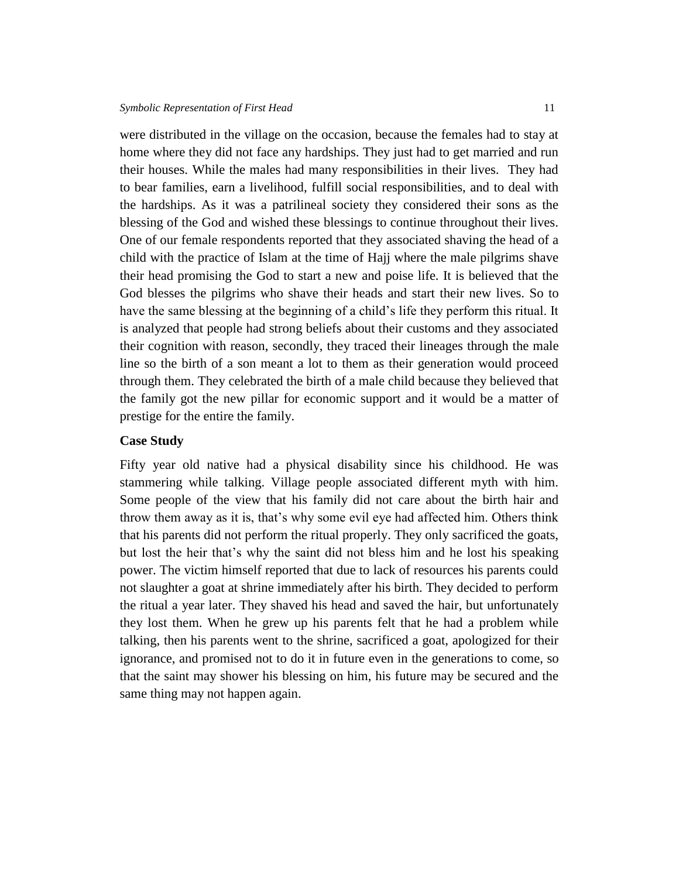were distributed in the village on the occasion, because the females had to stay at home where they did not face any hardships. They just had to get married and run their houses. While the males had many responsibilities in their lives. They had to bear families, earn a livelihood, fulfill social responsibilities, and to deal with the hardships. As it was a patrilineal society they considered their sons as the blessing of the God and wished these blessings to continue throughout their lives. One of our female respondents reported that they associated shaving the head of a child with the practice of Islam at the time of Hajj where the male pilgrims shave their head promising the God to start a new and poise life. It is believed that the God blesses the pilgrims who shave their heads and start their new lives. So to have the same blessing at the beginning of a child's life they perform this ritual. It is analyzed that people had strong beliefs about their customs and they associated their cognition with reason, secondly, they traced their lineages through the male line so the birth of a son meant a lot to them as their generation would proceed through them. They celebrated the birth of a male child because they believed that the family got the new pillar for economic support and it would be a matter of prestige for the entire the family.

#### **Case Study**

Fifty year old native had a physical disability since his childhood. He was stammering while talking. Village people associated different myth with him. Some people of the view that his family did not care about the birth hair and throw them away as it is, that's why some evil eye had affected him. Others think that his parents did not perform the ritual properly. They only sacrificed the goats, but lost the heir that's why the saint did not bless him and he lost his speaking power. The victim himself reported that due to lack of resources his parents could not slaughter a goat at shrine immediately after his birth. They decided to perform the ritual a year later. They shaved his head and saved the hair, but unfortunately they lost them. When he grew up his parents felt that he had a problem while talking, then his parents went to the shrine, sacrificed a goat, apologized for their ignorance, and promised not to do it in future even in the generations to come, so that the saint may shower his blessing on him, his future may be secured and the same thing may not happen again.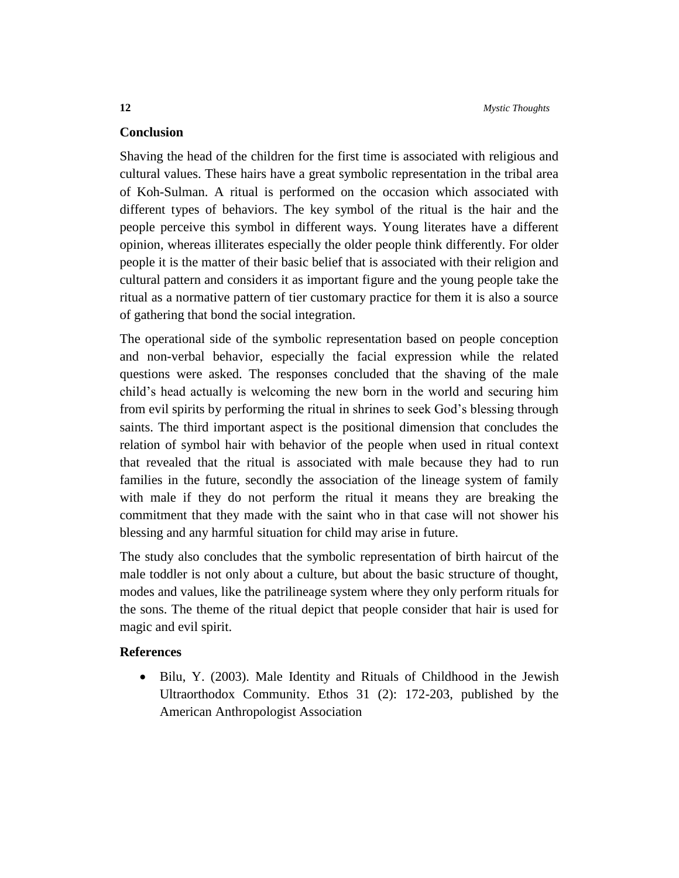# **Conclusion**

Shaving the head of the children for the first time is associated with religious and cultural values. These hairs have a great symbolic representation in the tribal area of Koh-Sulman. A ritual is performed on the occasion which associated with different types of behaviors. The key symbol of the ritual is the hair and the people perceive this symbol in different ways. Young literates have a different opinion, whereas illiterates especially the older people think differently. For older people it is the matter of their basic belief that is associated with their religion and cultural pattern and considers it as important figure and the young people take the ritual as a normative pattern of tier customary practice for them it is also a source of gathering that bond the social integration.

The operational side of the symbolic representation based on people conception and non-verbal behavior, especially the facial expression while the related questions were asked. The responses concluded that the shaving of the male child's head actually is welcoming the new born in the world and securing him from evil spirits by performing the ritual in shrines to seek God's blessing through saints. The third important aspect is the positional dimension that concludes the relation of symbol hair with behavior of the people when used in ritual context that revealed that the ritual is associated with male because they had to run families in the future, secondly the association of the lineage system of family with male if they do not perform the ritual it means they are breaking the commitment that they made with the saint who in that case will not shower his blessing and any harmful situation for child may arise in future.

The study also concludes that the symbolic representation of birth haircut of the male toddler is not only about a culture, but about the basic structure of thought, modes and values, like the patrilineage system where they only perform rituals for the sons. The theme of the ritual depict that people consider that hair is used for magic and evil spirit.

# **References**

• Bilu, Y. (2003). Male Identity and Rituals of Childhood in the Jewish Ultraorthodox Community. Ethos 31 (2): 172-203, published by the American Anthropologist Association